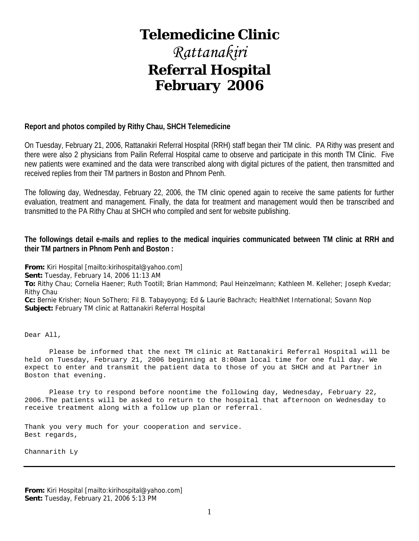# **Telemedicine Clinic**

# *Rattanakiri*  **Referral Hospital February 2006**

#### **Report and photos compiled by Rithy Chau, SHCH Telemedicine**

On Tuesday, February 21, 2006, Rattanakiri Referral Hospital (RRH) staff began their TM clinic. PA Rithy was present and there were also 2 physicians from Pailin Referral Hospital came to observe and participate in this month TM Clinic. Five new patients were examined and the data were transcribed along with digital pictures of the patient, then transmitted and received replies from their TM partners in Boston and Phnom Penh.

The following day, Wednesday, February 22, 2006, the TM clinic opened again to receive the same patients for further evaluation, treatment and management. Finally, the data for treatment and management would then be transcribed and transmitted to the PA Rithy Chau at SHCH who compiled and sent for website publishing.

#### **The followings detail e-mails and replies to the medical inquiries communicated between TM clinic at RRH and their TM partners in Phnom Penh and Boston :**

**From:** Kiri Hospital [mailto:kirihospital@yahoo.com]

**Sent:** Tuesday, February 14, 2006 11:13 AM

**To:** Rithy Chau; Cornelia Haener; Ruth Tootill; Brian Hammond; Paul Heinzelmann; Kathleen M. Kelleher; Joseph Kvedar; Rithy Chau

**Cc:** Bernie Krisher; Noun SoThero; Fil B. Tabayoyong; Ed & Laurie Bachrach; HealthNet International; Sovann Nop **Subject:** February TM clinic at Rattanakiri Referral Hospital

Dear All,

 Please be informed that the next TM clinic at Rattanakiri Referral Hospital will be held on Tuesday, February 21, 2006 beginning at 8:00am local time for one full day. We expect to enter and transmit the patient data to those of you at SHCH and at Partner in Boston that evening.

 Please try to respond before noontime the following day, Wednesday, February 22, 2006.The patients will be asked to return to the hospital that afternoon on Wednesday to receive treatment along with a follow up plan or referral.

Thank you very much for your cooperation and service. Best regards,

Channarith Ly

**From:** Kiri Hospital [mailto:kirihospital@yahoo.com] **Sent:** Tuesday, February 21, 2006 5:13 PM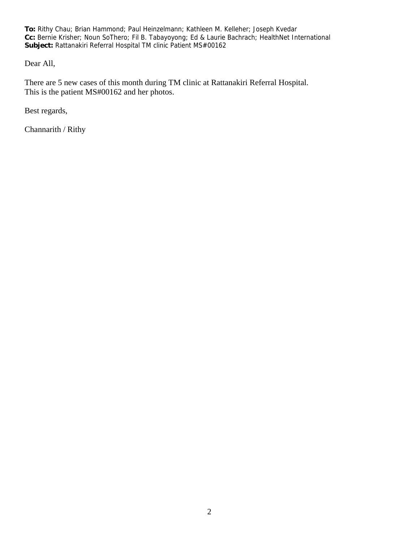**To:** Rithy Chau; Brian Hammond; Paul Heinzelmann; Kathleen M. Kelleher; Joseph Kvedar **Cc:** Bernie Krisher; Noun SoThero; Fil B. Tabayoyong; Ed & Laurie Bachrach; HealthNet International **Subject:** Rattanakiri Referral Hospital TM clinic Patient MS#00162

Dear All,

There are 5 new cases of this month during TM clinic at Rattanakiri Referral Hospital. This is the patient MS#00162 and her photos.

Best regards,

Channarith / Rithy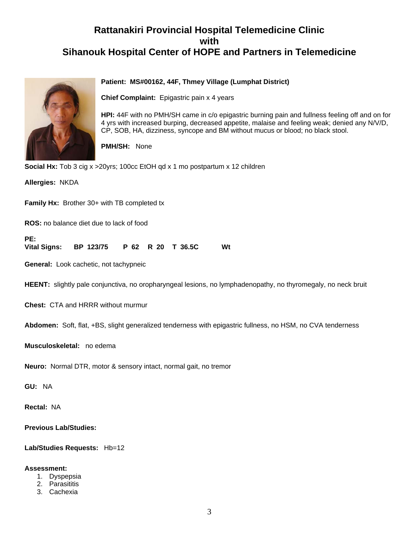# **Rattanakiri Provincial Hospital Telemedicine Clinic with Sihanouk Hospital Center of HOPE and Partners in Telemedicine**



#### **Patient: MS#00162, 44F, Thmey Village (Lumphat District)**

**Chief Complaint:** Epigastric pain x 4 years

**HPI:** 44F with no PMH/SH came in c/o epigastric burning pain and fullness feeling off and on for 4 yrs with increased burping, decreased appetite, malaise and feeling weak; denied any N/V/D, CP, SOB, HA, dizziness, syncope and BM without mucus or blood; no black stool.

**PMH/SH:** None

**Social Hx:** Tob 3 cig x >20yrs; 100cc EtOH qd x 1 mo postpartum x 12 children

**Allergies:** NKDA

**Family Hx:** Brother 30+ with TB completed tx

**ROS:** no balance diet due to lack of food

**PE: Vital Signs: BP 123/75 P 62 R 20 T 36.5C Wt**

**General:** Look cachetic, not tachypneic

**HEENT:** slightly pale conjunctiva, no oropharyngeal lesions, no lymphadenopathy, no thyromegaly, no neck bruit

**Chest:** CTA and HRRR without murmur

**Abdomen:** Soft, flat, +BS, slight generalized tenderness with epigastric fullness, no HSM, no CVA tenderness

**Musculoskeletal:** no edema

**Neuro:** Normal DTR, motor & sensory intact, normal gait, no tremor

**GU:** NA

**Rectal:** NA

**Previous Lab/Studies:**

**Lab/Studies Requests:** Hb=12

#### **Assessment:**

- 1. Dyspepsia
- 2. Parasititis
- 3. Cachexia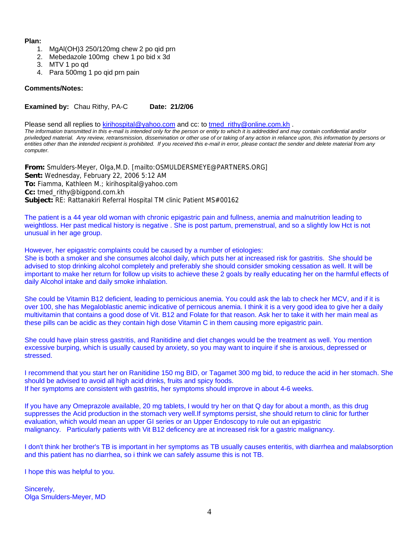#### **Plan:**

- 1. MgAl(OH)3 250/120mg chew 2 po qid prn
- 2. Mebedazole 100mg chew 1 po bid x 3d
- 3. MTV 1 po qd
- 4. Para 500mg 1 po qid prn pain

#### **Comments/Notes:**

**Examined by:** Chau Rithy, PA-C Date: 21/2/06

Please send all replies to [kirihospital@yahoo.com](mailto:kirihospital@yahoo.com) and cc: to [tmed\\_rithy@online.com.kh](mailto:tmed_rithy@bigpond.com.kh) .

*The information transmitted in this e-mail is intended only for the person or entity to which it is addredded and may contain confidential and/or priviledged material. Any review, retransmission, dissemination or other use of or taking of any action in reliance upon, this information by persons or*  entities other than the intended recipient is prohibited. If you received this e-mail in error, please contact the sender and delete material from any *computer.*

**From:** Smulders-Meyer, Olga,M.D. [mailto:OSMULDERSMEYE@PARTNERS.ORG] **Sent:** Wednesday, February 22, 2006 5:12 AM **To:** Fiamma, Kathleen M.; kirihospital@yahoo.com **Cc:** tmed\_rithy@bigpond.com.kh **Subject:** RE: Rattanakiri Referral Hospital TM clinic Patient MS#00162

The patient is a 44 year old woman with chronic epigastric pain and fullness, anemia and malnutrition leading to weightloss. Her past medical history is negative . She is post partum, premenstrual, and so a slightly low Hct is not unusual in her age group.

However, her epigastric complaints could be caused by a number of etiologies:

She is both a smoker and she consumes alcohol daily, which puts her at increased risk for gastritis. She should be advised to stop drinking alcohol completely and preferably she should consider smoking cessation as well. It will be important to make her return for follow up visits to achieve these 2 goals by really educating her on the harmful effects of daily Alcohol intake and daily smoke inhalation.

She could be Vitamin B12 deficient, leading to pernicious anemia. You could ask the lab to check her MCV, and if it is over 100, she has Megaloblastic anemic indicative of pernicous anemia. I think it is a very good idea to give her a daily multivitamin that contains a good dose of Vit. B12 and Folate for that reason. Ask her to take it with her main meal as these pills can be acidic as they contain high dose Vitamin C in them causing more epigastric pain.

She could have plain stress gastritis, and Ranitidine and diet changes would be the treatment as well. You mention excessive burping, which is usually caused by anxiety, so you may want to inquire if she is anxious, depressed or stressed.

I recommend that you start her on Ranitidine 150 mg BID, or Tagamet 300 mg bid, to reduce the acid in her stomach. She should be advised to avoid all high acid drinks, fruits and spicy foods. If her symptoms are consistent with gastritis, her symptoms should improve in about 4-6 weeks.

If you have any Omeprazole available, 20 mg tablets, I would try her on that Q day for about a month, as this drug suppresses the Acid production in the stomach very well.If symptoms persist, she should return to clinic for further evaluation, which would mean an upper GI series or an Upper Endoscopy to rule out an epigastric malignancy. Particularly patients with Vit B12 deficency are at increased risk for a gastric malignancy.

I don't think her brother's TB is important in her symptoms as TB usually causes enteritis, with diarrhea and malabsorption and this patient has no diarrhea, so i think we can safely assume this is not TB.

I hope this was helpful to you.

Sincerely, Olga Smulders-Meyer, MD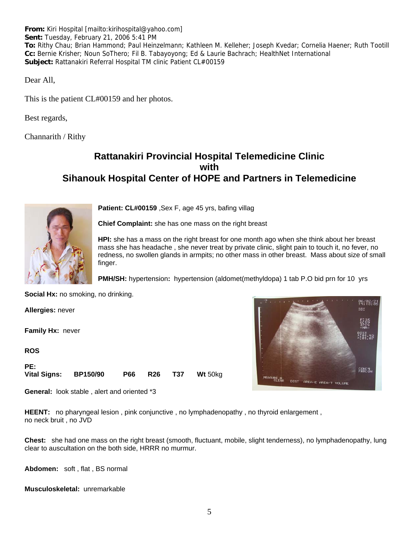**From:** Kiri Hospital [mailto:kirihospital@yahoo.com] **Sent:** Tuesday, February 21, 2006 5:41 PM **To:** Rithy Chau; Brian Hammond; Paul Heinzelmann; Kathleen M. Kelleher; Joseph Kvedar; Cornelia Haener; Ruth Tootill **Cc:** Bernie Krisher; Noun SoThero; Fil B. Tabayoyong; Ed & Laurie Bachrach; HealthNet International **Subject:** Rattanakiri Referral Hospital TM clinic Patient CL#00159

Dear All,

This is the patient CL#00159 and her photos.

Best regards,

Channarith / Rithy

# **Rattanakiri Provincial Hospital Telemedicine Clinic with Sihanouk Hospital Center of HOPE and Partners in Telemedicine**



**Patient: CL#00159** ,Sex F, age 45 yrs, bafing villag

**Chief Complaint:** she has one mass on the right breast

**HPI:** she has a mass on the right breast for one month ago when she think about her breast mass she has headache , she never treat by private clinic, slight pain to touch it, no fever, no redness, no swollen glands in armpits; no other mass in other breast. Mass about size of small finger.

**PMH/SH:** hypertension**:** hypertension (aldomet(methyldopa) 1 tab P.O bid prn for 10 yrs

**Social Hx:** no smoking, no drinking.

**Allergies:** never

**Family Hx:** never

**ROS**

| PE:                   |  |  |                            |
|-----------------------|--|--|----------------------------|
| Vital Signs: BP150/90 |  |  | <b>P66 R26 T37 Wt 50kg</b> |

**General:** look stable , alert and oriented \*3

**HEENT:** no pharyngeal lesion, pink conjunctive, no lymphadenopathy, no thyroid enlargement, no neck bruit , no JVD

**Chest:** she had one mass on the right breast (smooth, fluctuant, mobile, slight tenderness), no lymphadenopathy, lung clear to auscultation on the both side, HRRR no murmur.

**Abdomen:** soft , flat , BS normal

**Musculoskeletal:** unremarkable

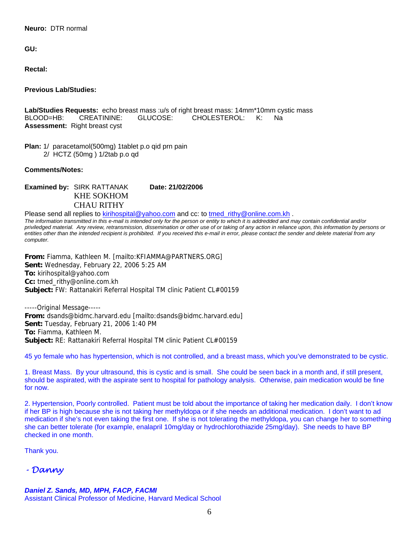**Neuro:** DTR normal

**GU:**

**Rectal:**

**Previous Lab/Studies:**

**Lab/Studies Requests:** echo breast mass :u/s of right breast mass: 14mm\*10mm cystic mass BLOOD=HB: CREATININE: GLUCOSE: CHOLESTEROL: K: Na **Assessment:** Right breast cyst

**Plan:** 1/ paracetamol(500mg) 1tablet p.o qid prn pain 2/ HCTZ (50mg ) 1/2tab p.o qd

**Comments/Notes:**

**Examined by: SIRK RATTANAK Date: 21/02/2006**  KHE SOKHOM CHAU RITHY

Please send all replies to **[kirihospital@yahoo.com](mailto:kirihospital@yahoo.com)** and cc: to [tmed\\_rithy@online.com.kh](mailto:tmed_rithy@bigpond.com.kh) . *The information transmitted in this e-mail is intended only for the person or entity to which it is addredded and may contain confidential and/or priviledged material. Any review, retransmission, dissemination or other use of or taking of any action in reliance upon, this information by persons or entities other than the intended recipient is prohibited. If you received this e-mail in error, please contact the sender and delete material from any computer.* 

**From:** Fiamma, Kathleen M. [mailto:KFIAMMA@PARTNERS.ORG] **Sent:** Wednesday, February 22, 2006 5:25 AM **To:** kirihospital@yahoo.com **Cc:** tmed\_rithy@online.com.kh **Subject:** FW: Rattanakiri Referral Hospital TM clinic Patient CL#00159

-----Original Message----- **From:** dsands@bidmc.harvard.edu [mailto:dsands@bidmc.harvard.edu] **Sent:** Tuesday, February 21, 2006 1:40 PM **To:** Fiamma, Kathleen M. **Subject:** RE: Rattanakiri Referral Hospital TM clinic Patient CL#00159

45 yo female who has hypertension, which is not controlled, and a breast mass, which you've demonstrated to be cystic.

1. Breast Mass. By your ultrasound, this is cystic and is small. She could be seen back in a month and, if still present, should be aspirated, with the aspirate sent to hospital for pathology analysis. Otherwise, pain medication would be fine for now.

2. Hypertension, Poorly controlled. Patient must be told about the importance of taking her medication daily. I don't know if her BP is high because she is not taking her methyldopa or if she needs an additional medication. I don't want to ad medication if she's not even taking the first one. If she is not tolerating the methyldopa, you can change her to something she can better tolerate (for example, enalapril 10mg/day or hydrochlorothiazide 25mg/day). She needs to have BP checked in one month.

Thank you.

*- Danny* 

#### *Daniel Z. Sands, MD, MPH, FACP, FACMI*

Assistant Clinical Professor of Medicine, Harvard Medical School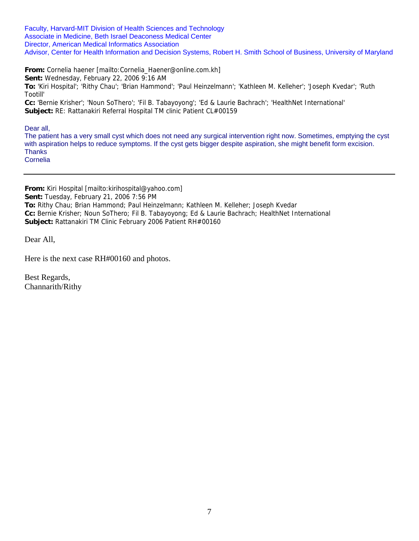Faculty, Harvard-MIT Division of Health Sciences and Technology Associate in Medicine, Beth Israel Deaconess Medical Center Director, American Medical Informatics Association Advisor, Center for Health Information and Decision Systems, Robert H. Smith School of Business, University of Maryland

**From:** Cornelia haener [mailto:Cornelia\_Haener@online.com.kh] **Sent:** Wednesday, February 22, 2006 9:16 AM **To:** 'Kiri Hospital'; 'Rithy Chau'; 'Brian Hammond'; 'Paul Heinzelmann'; 'Kathleen M. Kelleher'; 'Joseph Kvedar'; 'Ruth Tootill'

**Cc:** 'Bernie Krisher'; 'Noun SoThero'; 'Fil B. Tabayoyong'; 'Ed & Laurie Bachrach'; 'HealthNet International' **Subject:** RE: Rattanakiri Referral Hospital TM clinic Patient CL#00159

Dear all,

The patient has a very small cyst which does not need any surgical intervention right now. Sometimes, emptying the cyst with aspiration helps to reduce symptoms. If the cyst gets bigger despite aspiration, she might benefit form excision. **Thanks** Cornelia

**From:** Kiri Hospital [mailto:kirihospital@yahoo.com] **Sent:** Tuesday, February 21, 2006 7:56 PM **To:** Rithy Chau; Brian Hammond; Paul Heinzelmann; Kathleen M. Kelleher; Joseph Kvedar **Cc:** Bernie Krisher; Noun SoThero; Fil B. Tabayoyong; Ed & Laurie Bachrach; HealthNet International **Subject:** Rattanakiri TM Clinic February 2006 Patient RH#00160

Dear All,

Here is the next case RH#00160 and photos.

Best Regards, Channarith/Rithy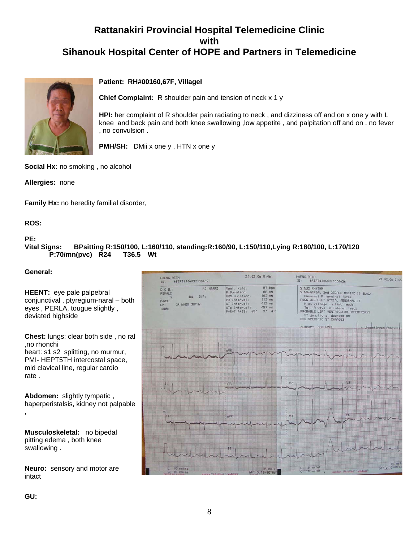# **Rattanakiri Provincial Hospital Telemedicine Clinic with Sihanouk Hospital Center of HOPE and Partners in Telemedicine**



#### **Patient: RH#00160,67F, VillageI**

**Chief Complaint:** R shoulder pain and tension of neck x 1 y

knee and back pain and both knee swallowing ,low appetite , and palpitation off and on . no fever **HPI:** her complaint of R shoulder pain radiating to neck , and dizziness off and on x one y with L , no convulsion .

**PMH/SH:** DMii x one y , HTN x one y

**Social Hx:** no smoking , no alcohol

**Allergies:** none

**Family Hx:** no heredity familial disorder,

**ROS:**

#### **PE:**

**Vital Signs: BPsitting R:150/100, L:160/110, standing:R:160/90, L:150/110,Lying R:180/100, L:170/120 P:70/mn(pvc) R24 T36.5 Wt**

#### **General:**

|                                                                                                                                                                           | HOENG, RETH<br>#STAT#1060221004626<br>10:                                                              | 21.02.06 0:46                                                                                                                                                                                               | HOENG, RETH<br>ID <sub>z</sub><br>#STAT#1060221004626                                                                                                                                                                                                                                                      | 21.02.06 0:46          |
|---------------------------------------------------------------------------------------------------------------------------------------------------------------------------|--------------------------------------------------------------------------------------------------------|-------------------------------------------------------------------------------------------------------------------------------------------------------------------------------------------------------------|------------------------------------------------------------------------------------------------------------------------------------------------------------------------------------------------------------------------------------------------------------------------------------------------------------|------------------------|
| <b>HEENT:</b> eye pale palpebral<br>conjunctival, ptyregium-naral - both<br>eyes, PERLA, tougue slightly,<br>deviated highside                                            | 67 YEARS<br>D.0.8.<br>FEMALE<br>$lbs.$ $B/P$ :<br>in.<br>Meds:<br><b>DR NHEM SOPHY</b><br>Dr:<br>Tech: | $87$ bpm<br>Vent. Rate:<br>$88$ ms<br>P Duration:<br>$102$ $ms$<br><b>QRS</b> Duration:<br>$112$ ms<br>PR Interval:<br>$412$ ms<br>OT Interval:<br>457 ms<br>OTc Interval:<br>$2^*$ 41'<br>$P-R-TAXIS: 6B"$ | SINUS RHYTHM<br>SINO-ATRIAL 2nd DEGREE MOBITZ II BLOCK<br>Abnormal P terminal force<br>POSSIBLE LEFT ATRIAL ABNORMALITY<br>High voltage in limb leads<br>Tall R wave in lateral leads<br>PROBABLE LEFT VENTRICULAR HYPERTROPHY<br>ST junctional depression<br>NON SPECIFIC ST CHANGES<br>Summary: ABNORMAL |                        |
| <b>Chest:</b> lungs: clear both side, no ral<br>,no rhonchi<br>heart: s1 s2 splitting, no murmur,<br>PMI- HEPT5TH intercostal space,<br>mid clavical line, regular cardio |                                                                                                        |                                                                                                                                                                                                             |                                                                                                                                                                                                                                                                                                            | * Unconfirmed Analysis |
| rate.<br>Abdomen: slightly tympatic,<br>haperperistalsis, kidney not palpable                                                                                             |                                                                                                        | avu                                                                                                                                                                                                         | V2.                                                                                                                                                                                                                                                                                                        |                        |
|                                                                                                                                                                           |                                                                                                        | aVF                                                                                                                                                                                                         | <b>V3</b>                                                                                                                                                                                                                                                                                                  |                        |
| Musculoskeletal: no bipedal<br>pitting edema, both knee<br>swallowing.                                                                                                    |                                                                                                        |                                                                                                                                                                                                             |                                                                                                                                                                                                                                                                                                            |                        |
| <b>Neuro:</b> sensory and motor are<br>intact                                                                                                                             | $L: 10$ mm/mV<br>$10$ mm $/mV$                                                                         | $25$ mm $/s$<br>$60^{\circ}$ 0.12-40 Hz                                                                                                                                                                     | $L = 10$ mm $ImV$<br>BURGICK WASHINGTON PLATFORM<br>$C: 10$ mm $/mV$                                                                                                                                                                                                                                       | $60° 0.12 - 40$        |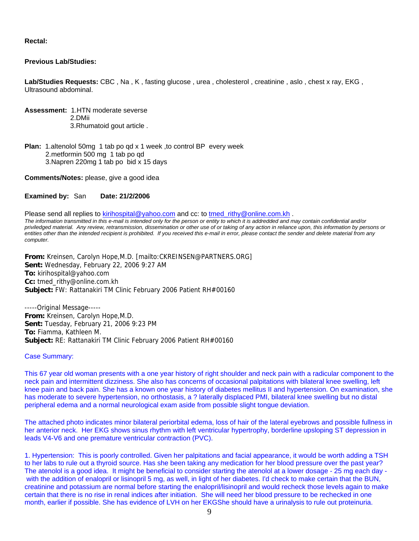**Rectal:**

#### **Previous Lab/Studies:**

**Lab/Studies Requests:** CBC , Na , K , fasting glucose , urea , cholesterol , creatinine , aslo , chest x ray, EKG , Ultrasound abdominal.

**Assessment:** 1.HTN moderate severse 2.DMii 3.Rhumatoid gout article .

**Plan:** 1.altenolol 50mg 1 tab po qd x 1 week ,to control BP every week 2.metformin 500 mg 1 tab po qd 3.Napren 220mg 1 tab po bid x 15 days

**Comments/Notes:** please, give a good idea

#### **Examined by:** San **Date: 21/2/2006**

Please send all replies to [kirihospital@yahoo.com](mailto:kirihospital@yahoo.com) and cc: to [tmed\\_rithy@online.com.kh](mailto:tmed_rithy@bigpond.com.kh) . *The information transmitted in this e-mail is intended only for the person or entity to which it is addredded and may contain confidential and/or priviledged material. Any review, retransmission, dissemination or other use of or taking of any action in reliance upon, this information by persons or entities other than the intended recipient is prohibited. If you received this e-mail in error, please contact the sender and delete material from any computer.*

**From:** Kreinsen, Carolyn Hope,M.D. [mailto:CKREINSEN@PARTNERS.ORG] **Sent:** Wednesday, February 22, 2006 9:27 AM **To:** kirihospital@yahoo.com **Cc:** tmed\_rithy@online.com.kh **Subject:** FW: Rattanakiri TM Clinic February 2006 Patient RH#00160

-----Original Message----- **From:** Kreinsen, Carolyn Hope,M.D. **Sent:** Tuesday, February 21, 2006 9:23 PM **To:** Fiamma, Kathleen M. **Subject:** RE: Rattanakiri TM Clinic February 2006 Patient RH#00160

#### Case Summary:

This 67 year old woman presents with a one year history of right shoulder and neck pain with a radicular component to the neck pain and intermittent dizziness. She also has concerns of occasional palpitations with bilateral knee swelling, left knee pain and back pain. She has a known one year history of diabetes mellitus II and hypertension. On examination, she has moderate to severe hypertension, no orthostasis, a ? laterally displaced PMI, bilateral knee swelling but no distal peripheral edema and a normal neurological exam aside from possible slight tongue deviation.

The attached photo indicates minor bilateral periorbital edema, loss of hair of the lateral eyebrows and possible fullness in her anterior neck. Her EKG shows sinus rhythm with left ventricular hypertrophy, borderline upsloping ST depression in leads V4-V6 and one premature ventricular contraction (PVC).

1. Hypertension: This is poorly controlled. Given her palpitations and facial appearance, it would be worth adding a TSH to her labs to rule out a thyroid source. Has she been taking any medication for her blood pressure over the past year? The atenolol is a good idea. It might be beneficial to consider starting the atenolol at a lower dosage - 25 mg each day with the addition of enalopril or lisinopril 5 mg, as well, in light of her diabetes. I'd check to make certain that the BUN, creatinine and potassium are normal before starting the enalopril/lisinopril and would recheck those levels again to make certain that there is no rise in renal indices after initiation. She will need her blood pressure to be rechecked in one month, earlier if possible. She has evidence of LVH on her EKGShe should have a urinalysis to rule out proteinuria.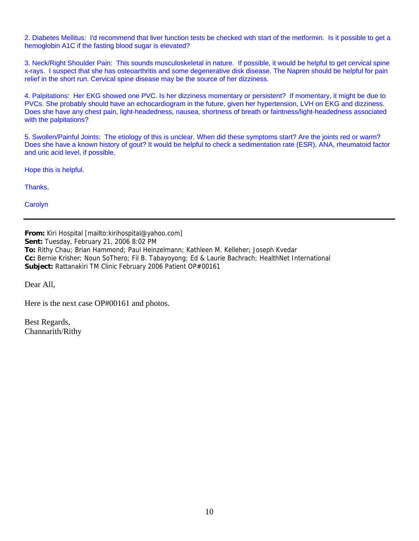2. Diabetes Mellitus: I'd recommend that liver function tests be checked with start of the metformin. Is it possible to get a hemoglobin A1C if the fasting blood sugar is elevated?

3. Neck/Right Shoulder Pain: This sounds musculoskeletal in nature. If possible, it would be helpful to get cervical spine x-rays. I suspect that she has osteoarthritis and some degenerative disk disease. The Napren should be helpful for pain relief in the short run. Cervical spine disease may be the source of her dizziness.

4. Palpitations: Her EKG showed one PVC. Is her dizziness momentary or persistent? If momentary, it might be due to PVCs. She probably should have an echocardiogram in the future, given her hypertension, LVH on EKG and dizziness. Does she have any chest pain, light-headedness, nausea, shortness of breath or faintness/light-headedness associated with the palpitations?

5. Swollen/Painful Joints: The etiology of this is unclear. When did these symptoms start? Are the joints red or warm? Does she have a known history of gout? It would be helpful to check a sedimentation rate (ESR), ANA, rheumatoid factor and uric acid level, if possible.

Hope this is helpful.

Thanks,

**Carolyn** 

**From:** Kiri Hospital [mailto:kirihospital@yahoo.com] **Sent:** Tuesday, February 21, 2006 8:02 PM **To:** Rithy Chau; Brian Hammond; Paul Heinzelmann; Kathleen M. Kelleher; Joseph Kvedar **Cc:** Bernie Krisher; Noun SoThero; Fil B. Tabayoyong; Ed & Laurie Bachrach; HealthNet International **Subject:** Rattanakiri TM Clinic February 2006 Patient OP#00161

Dear All,

Here is the next case OP#00161 and photos.

Best Regards, Channarith/Rithy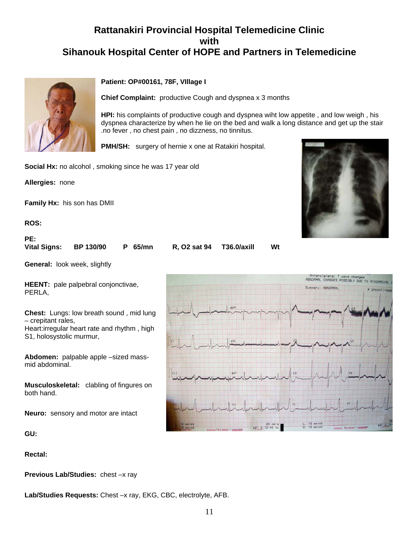# **Rattanakiri Provincial Hospital Telemedicine Clinic with Sihanouk Hospital Center of HOPE and Partners in Telemedicine**



#### **Patient: OP#00161, 78F, VIllage I**

**Chief Complaint:** productive Cough and dyspnea x 3 months

**HPI:** his complaints of productive cough and dyspnea wiht low appetite , and low weigh , his dyspnea characterize by when he lie on the bed and walk a long distance and get up the stair .no fever , no chest pain , no dizzness, no tinnitus.

**PMH/SH:** surgery of hernie x one at Ratakiri hospital.

**Social Hx:** no alcohol , smoking since he was 17 year old

**Allergies:** none

**Family Hx:** his son has DMII

**ROS:**

**PE: Vital Signs: BP 130/90 P 65/mn R, O2 sat 94 T36.0/axill Wt**

**General:** look week, slightly

**HEENT:** pale palpebral conjonctivae, PERLA,

**Chest:** Lungs: low breath sound , mid lung – crepitant rales,

Heart:irregular heart rate and rhythm , high S1, holosystolic murmur,

**Abdomen:** palpable apple –sized massmid abdominal.

**Musculoskeletal:** clabling of fingures on both hand.

**Neuro:** sensory and motor are intact

**GU:**

**Rectal:**

**Previous Lab/Studies:** chest –x ray

**Lab/Studies Requests:** Chest –x ray, EKG, CBC, electrolyte, AFB.



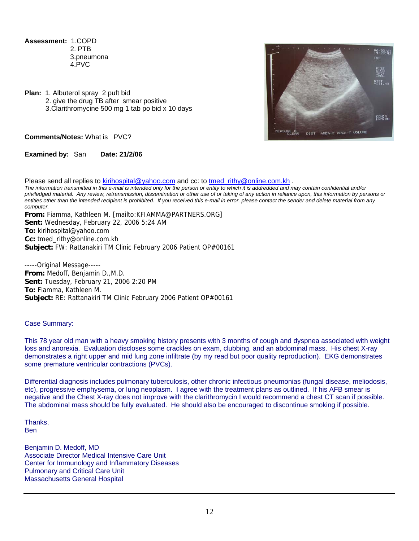**Assessment:** 1.COPD 2. PTB 3.pneumona 4.PVC

**Plan:** 1. Albuterol spray 2 puft bid 2. give the drug TB after smear positive 3.Clarithromycine 500 mg 1 tab po bid x 10 days



**Comments/Notes:** What is PVC?

**Examined by:** San **Date: 21/2/06**

Please send all replies to [kirihospital@yahoo.com](mailto:kirihospital@yahoo.com) and cc: to [tmed\\_rithy@online.com.kh](mailto:tmed_rithy@bigpond.com.kh) . *The information transmitted in this e-mail is intended only for the person or entity to which it is addredded and may contain confidential and/or priviledged material. Any review, retransmission, dissemination or other use of or taking of any action in reliance upon, this information by persons or entities other than the intended recipient is prohibited. If you received this e-mail in error, please contact the sender and delete material from any computer.* **From:** Fiamma, Kathleen M. [mailto:KFIAMMA@PARTNERS.ORG]

**Sent:** Wednesday, February 22, 2006 5:24 AM **To:** kirihospital@yahoo.com **Cc:** tmed\_rithy@online.com.kh **Subject:** FW: Rattanakiri TM Clinic February 2006 Patient OP#00161

-----Original Message----- **From:** Medoff, Benjamin D.,M.D. **Sent:** Tuesday, February 21, 2006 2:20 PM **To:** Fiamma, Kathleen M. **Subject:** RE: Rattanakiri TM Clinic February 2006 Patient OP#00161

#### Case Summary:

This 78 year old man with a heavy smoking history presents with 3 months of cough and dyspnea associated with weight loss and anorexia. Evaluation discloses some crackles on exam, clubbing, and an abdominal mass. His chest X-ray demonstrates a right upper and mid lung zone infiltrate (by my read but poor quality reproduction). EKG demonstrates some premature ventricular contractions (PVCs).

Differential diagnosis includes pulmonary tuberculosis, other chronic infectious pneumonias (fungal disease, meliodosis, etc), progressive emphysema, or lung neoplasm. I agree with the treatment plans as outlined. If his AFB smear is negative and the Chest X-ray does not improve with the clarithromycin I would recommend a chest CT scan if possible. The abdominal mass should be fully evaluated. He should also be encouraged to discontinue smoking if possible.

Thanks, Ben

Benjamin D. Medoff, MD Associate Director Medical Intensive Care Unit Center for Immunology and Inflammatory Diseases Pulmonary and Critical Care Unit Massachusetts General Hospital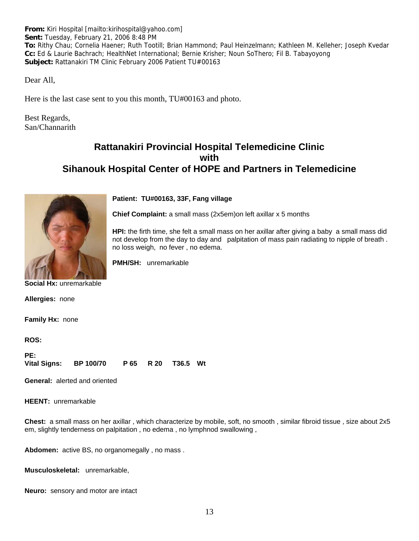**From:** Kiri Hospital [mailto:kirihospital@yahoo.com] **Sent:** Tuesday, February 21, 2006 8:48 PM **To:** Rithy Chau; Cornelia Haener; Ruth Tootill; Brian Hammond; Paul Heinzelmann; Kathleen M. Kelleher; Joseph Kvedar **Cc:** Ed & Laurie Bachrach; HealthNet International; Bernie Krisher; Noun SoThero; Fil B. Tabayoyong **Subject:** Rattanakiri TM Clinic February 2006 Patient TU#00163

Dear All,

Here is the last case sent to you this month, TU#00163 and photo.

Best Regards, San/Channarith

# **Rattanakiri Provincial Hospital Telemedicine Clinic with Sihanouk Hospital Center of HOPE and Partners in Telemedicine**



#### **Patient: TU#00163, 33F, Fang village**

**Chief Complaint:** a small mass (2x5em)on left axillar x 5 months

**HPI:** the firth time, she felt a small mass on her axillar after giving a baby a small mass did not develop from the day to day and palpitation of mass pain radiating to nipple of breath . no loss weigh, no fever , no edema.

**PMH/SH:** unremarkable

**Social Hx:** unremarkable

**Allergies:** none

**Family Hx:** none

**ROS:**

| PE:          |                  |  |                     |  |
|--------------|------------------|--|---------------------|--|
| Vital Signs: | <b>BP 100/70</b> |  | P 65 R 20 T 36.5 Wt |  |

**General:** alerted and oriented

**HEENT:** unremarkable

**Chest:** a small mass on her axillar , which characterize by mobile, soft, no smooth , similar fibroid tissue , size about 2x5 em, slightly tenderness on palpitation , no edema , no lymphnod swallowing ,

**Abdomen:** active BS, no organomegally , no mass .

**Musculoskeletal:** unremarkable,

**Neuro:** sensory and motor are intact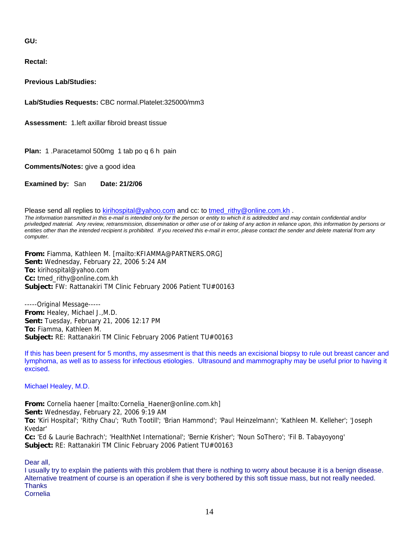**GU:**

**Rectal:**

**Previous Lab/Studies:**

**Lab/Studies Requests:** CBC normal.Platelet:325000/mm3

**Assessment:** 1.left axillar fibroid breast tissue

**Plan:** 1 .Paracetamol 500mg 1 tab po q 6 h pain

**Comments/Notes:** give a good idea

**Examined by:** San **Date: 21/2/06**

Please send all replies to [kirihospital@yahoo.com](mailto:kirihospital@yahoo.com) and cc: to tmed rithy@online.com.kh . *The information transmitted in this e-mail is intended only for the person or entity to which it is addredded and may contain confidential and/or priviledged material. Any review, retransmission, dissemination or other use of or taking of any action in reliance upon, this information by persons or*  entities other than the intended recipient is prohibited. If you received this e-mail in error, please contact the sender and delete material from any *computer.*

**From:** Fiamma, Kathleen M. [mailto:KFIAMMA@PARTNERS.ORG] **Sent:** Wednesday, February 22, 2006 5:24 AM **To:** kirihospital@yahoo.com **Cc:** tmed\_rithy@online.com.kh **Subject:** FW: Rattanakiri TM Clinic February 2006 Patient TU#00163

-----Original Message----- **From:** Healey, Michael J.,M.D. **Sent:** Tuesday, February 21, 2006 12:17 PM **To:** Fiamma, Kathleen M. **Subject:** RE: Rattanakiri TM Clinic February 2006 Patient TU#00163

If this has been present for 5 months, my assesment is that this needs an excisional biopsy to rule out breast cancer and lymphoma, as well as to assess for infectious etiologies. Ultrasound and mammography may be useful prior to having it excised.

Michael Healey, M.D.

**From:** Cornelia haener [mailto:Cornelia\_Haener@online.com.kh] **Sent:** Wednesday, February 22, 2006 9:19 AM **To:** 'Kiri Hospital'; 'Rithy Chau'; 'Ruth Tootill'; 'Brian Hammond'; 'Paul Heinzelmann'; 'Kathleen M. Kelleher'; 'Joseph Kvedar' **Cc:** 'Ed & Laurie Bachrach'; 'HealthNet International'; 'Bernie Krisher'; 'Noun SoThero'; 'Fil B. Tabayoyong' **Subject:** RE: Rattanakiri TM Clinic February 2006 Patient TU#00163

Dear all,

I usually try to explain the patients with this problem that there is nothing to worry about because it is a benign disease. Alternative treatment of course is an operation if she is very bothered by this soft tissue mass, but not really needed. **Thanks** Cornelia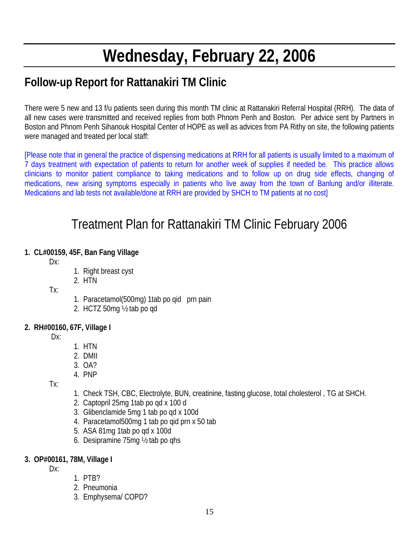# **Wednesday, February 22, 2006**

# **Follow-up Report for Rattanakiri TM Clinic**

There were 5 new and 13 f/u patients seen during this month TM clinic at Rattanakiri Referral Hospital (RRH). The data of all new cases were transmitted and received replies from both Phnom Penh and Boston. Per advice sent by Partners in Boston and Phnom Penh Sihanouk Hospital Center of HOPE as well as advices from PA Rithy on site, the following patients were managed and treated per local staff:

[Please note that in general the practice of dispensing medications at RRH for all patients is usually limited to a maximum of 7 days treatment with expectation of patients to return for another week of supplies if needed be. This practice allows clinicians to monitor patient compliance to taking medications and to follow up on drug side effects, changing of medications, new arising symptoms especially in patients who live away from the town of Banlung and/or illiterate. Medications and lab tests not available/done at RRH are provided by SHCH to TM patients at no cost]

# Treatment Plan for Rattanakiri TM Clinic February 2006

# **1. CL#00159, 45F, Ban Fang Village**

Dx:

- 1. Right breast cyst
- 2. HTN

Tx:

- 1. Paracetamol(500mg) 1tab po qid prn pain
- 2. HCTZ 50mg ½ tab po qd

# **2. RH#00160, 67F, Village I**

Dx:

- 1. HTN
- 2. DMII
- 3. OA?
- 4. PNP

Tx:

- 1. Check TSH, CBC, Electrolyte, BUN, creatinine, fasting glucose, total cholesterol , TG at SHCH.
- 2. Captopril 25mg 1tab po qd x 100 d
- 3. Glibenclamide 5mg 1 tab po qd x 100d
- 4. Paracetamol500mg 1 tab po qid prn x 50 tab
- 5. ASA 81mg 1tab po qd x 100d
- 6. Desipramine 75mg ½ tab po qhs

## **3. OP#00161, 78M, Village I**

Dx:

- 1. PTB?
- 2. Pneumonia
- 3. Emphysema/ COPD?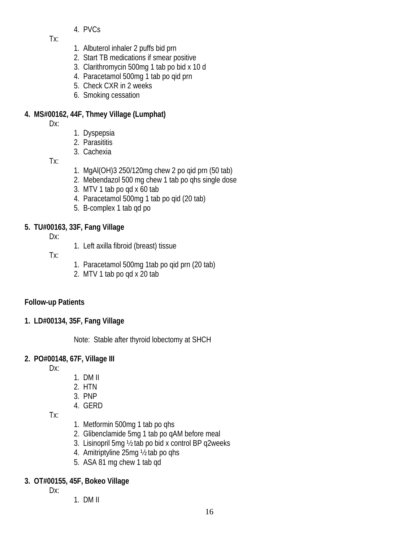4. PVCs

Tx:

- 1. Albuterol inhaler 2 puffs bid prn
- 2. Start TB medications if smear positive
- 3. Clarithromycin 500mg 1 tab po bid x 10 d
- 4. Paracetamol 500mg 1 tab po qid prn
- 5. Check CXR in 2 weeks
- 6. Smoking cessation

# **4. MS#00162, 44F, Thmey Village (Lumphat)**

Dx:

- 1. Dyspepsia
- 2. Parasititis
- 3. Cachexia

Tx:

- 1. MgAl(OH)3 250/120mg chew 2 po qid prn (50 tab)
- 2. Mebendazol 500 mg chew 1 tab po qhs single dose
- 3. MTV 1 tab po qd x 60 tab
- 4. Paracetamol 500mg 1 tab po qid (20 tab)
- 5. B-complex 1 tab qd po

# **5. TU#00163, 33F, Fang Village**

Dx:

1. Left axilla fibroid (breast) tissue

Tx:

- 1. Paracetamol 500mg 1tab po qid prn (20 tab)
- 2. MTV 1 tab po qd x 20 tab

# **Follow-up Patients**

**1. LD#00134, 35F, Fang Village** 

Note: Stable after thyroid lobectomy at SHCH

# **2. PO#00148, 67F, Village III**

Dx:

- 1. DM II
- 2. HTN
- 3. PNP
- 4. GERD

Tx:

- 1. Metformin 500mg 1 tab po qhs
- 2. Glibenclamide 5mg 1 tab po qAM before meal
- 3. Lisinopril 5mg ½ tab po bid x control BP q2weeks
- 4. Amitriptyline 25mg ½ tab po qhs
- 5. ASA 81 mg chew 1 tab qd

# **3. OT#00155, 45F, Bokeo Village**

Dx:

1. DM II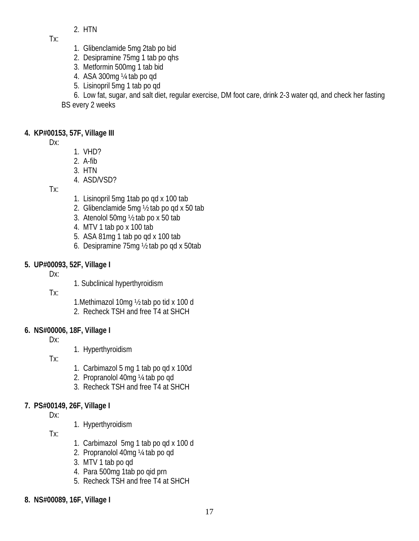2. HTN

 $Tx$ 

- 1. Glibenclamide 5mg 2tab po bid
- 2. Desipramine 75mg 1 tab po qhs
- 3. Metformin 500mg 1 tab bid
- 4. ASA 300mg ¼ tab po qd
- 5. Lisinopril 5mg 1 tab po qd

6. Low fat, sugar, and salt diet, regular exercise, DM foot care, drink 2-3 water qd, and check her fasting BS every 2 weeks

# **4. KP#00153, 57F, Village III**

Dx:

- 1. VHD?
- 2. A-fib
- 3. HTN
- 4. ASD/VSD?

Tx:

- 1. Lisinopril 5mg 1tab po qd x 100 tab
- 2. Glibenclamide 5mg ½ tab po qd x 50 tab
- 3. Atenolol 50mg ½ tab po x 50 tab
- 4. MTV 1 tab po x 100 tab
- 5. ASA 81mg 1 tab po qd x 100 tab
- 6. Desipramine 75mg ½ tab po qd x 50tab

# **5. UP#00093, 52F, Village I**

Dx:

1. Subclinical hyperthyroidism

Tx:

- 1.Methimazol 10mg ½ tab po tid x 100 d
- 2. Recheck TSH and free T4 at SHCH

# **6. NS#00006, 18F, Village I**

Dx:

1. Hyperthyroidism

Tx:

- 1. Carbimazol 5 mg 1 tab po qd x 100d
- 2. Propranolol 40mg ¼ tab po qd
- 3. Recheck TSH and free T4 at SHCH

# **7. PS#00149, 26F, Village I**

Dx:

1. Hyperthyroidism

Tx:

- 1. Carbimazol 5mg 1 tab po qd x 100 d
- 2. Propranolol 40mg ¼ tab po qd
- 3. MTV 1 tab po qd
- 4. Para 500mg 1tab po qid prn
- 5. Recheck TSH and free T4 at SHCH
- **8. NS#00089, 16F, Village I**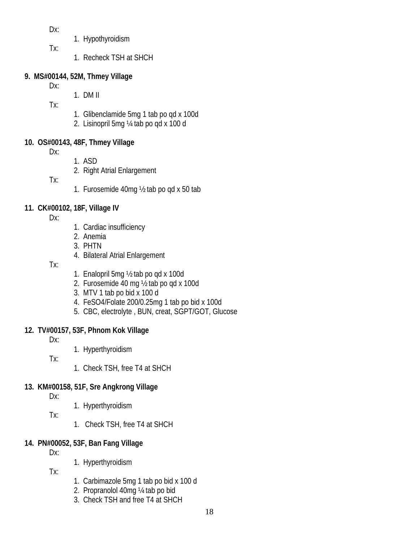Dx:

- 1. Hypothyroidism
- Tx:
- 1. Recheck TSH at SHCH

# **9. MS#00144, 52M, Thmey Village**

- Dx:
- 1. DM II

Tx:

- 1. Glibenclamide 5mg 1 tab po qd x 100d
- 2. Lisinopril 5mg ¼ tab po qd x 100 d

# **10. OS#00143, 48F, Thmey Village**

Dx:

- 1. ASD
- 2. Right Atrial Enlargement

Tx:

1. Furosemide 40mg ½ tab po qd x 50 tab

# **11. CK#00102, 18F, Village IV**

Dx:

- 1. Cardiac insufficiency
- 2. Anemia
- 3. PHTN
- 4. Bilateral Atrial Enlargement
- Tx:
- 1. Enalopril 5mg ½ tab po qd x 100d
- 2. Furosemide 40 mg ½ tab po qd x 100d
- 3. MTV 1 tab po bid x 100 d
- 4. FeSO4/Folate 200/0.25mg 1 tab po bid x 100d
- 5. CBC, electrolyte , BUN, creat, SGPT/GOT, Glucose

# **12. TV#00157, 53F, Phnom Kok Village**

Dx:

1. Hyperthyroidism

Tx:

1. Check TSH, free T4 at SHCH

# **13. KM#00158, 51F, Sre Angkrong Village**

Dx:

1. Hyperthyroidism

Tx:

1. Check TSH, free T4 at SHCH

# **14. PN#00052, 53F, Ban Fang Village**

 $Dx$ :

1. Hyperthyroidism

Tx:

- 1. Carbimazole 5mg 1 tab po bid x 100 d
- 2. Propranolol 40mg ¼ tab po bid
- 3. Check TSH and free T4 at SHCH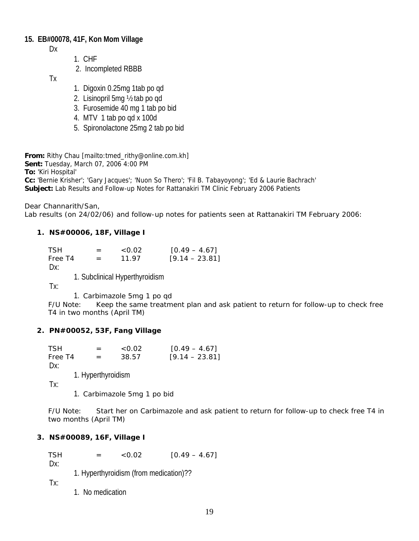## **15. EB#00078, 41F, Kon Mom Village**

Dx

- 1. CHF
- 2. Incompleted RBBB

Tx

- 1. Digoxin 0.25mg 1tab po qd
- 2. Lisinopril 5mg ½ tab po qd
- 3. Furosemide 40 mg 1 tab po bid
- 4. MTV 1 tab po qd x 100d
- 5. Spironolactone 25mg 2 tab po bid

**From:** Rithy Chau [mailto:tmed\_rithy@online.com.kh]

**Sent:** Tuesday, March 07, 2006 4:00 PM

**To:** 'Kiri Hospital'

**Cc:** 'Bernie Krisher'; 'Gary Jacques'; 'Nuon So Thero'; 'Fil B. Tabayoyong'; 'Ed & Laurie Bachrach' **Subject:** Lab Results and Follow-up Notes for Rattanakiri TM Clinic February 2006 Patients

Dear Channarith/San,

Lab results (on 24/02/06) and follow-up notes for patients seen at Rattanakiri TM February 2006:

#### **1. NS#00006, 18F, Village I**

| <b>TSH</b> | $=$ | < 0.02 | $[0.49 - 4.67]$  |
|------------|-----|--------|------------------|
| Free T4    | $=$ | 11.97  | $[9.14 - 23.81]$ |
| -          |     |        |                  |

Dx:

1. Subclinical Hyperthyroidism

Tx:

1. Carbimazole 5mg 1 po qd

F/U Note: Keep the same treatment plan and ask patient to return for follow-up to check free T4 in two months (April TM)

## **2. PN#00052, 53F, Fang Village**

| <b>TSH</b> |                    | < 0.02 | $[0.49 - 4.67]$  |
|------------|--------------------|--------|------------------|
| Free T4    | $=$                | 38.57  | $[9.14 - 23.81]$ |
| $Dx$ :     |                    |        |                  |
|            | 1. Hyperthyroidism |        |                  |
| Tx:        |                    |        |                  |

1. Carbimazole 5mg 1 po bid

F/U Note: Start her on Carbimazole and ask patient to return for follow-up to check free T4 in two months (April TM)

## **3. NS#00089, 16F, Village I**

TSH  $=$  <0.02  $[0.49 - 4.67]$ 

 $Dx$ :

1. Hyperthyroidism (from medication)??

Tx:

1. No medication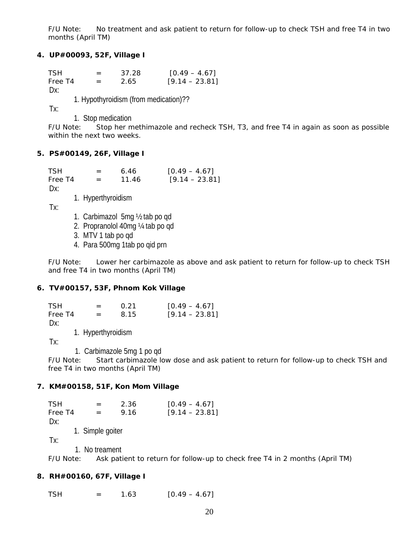F/U Note: No treatment and ask patient to return for follow-up to check TSH and free T4 in two months (April TM)

#### **4. UP#00093, 52F, Village I**

 $TSH = 37.28$   $[0.49 - 4.67]$ Free T4  $= 2.65$  [9.14 – 23.81] Dx:

1. Hypothyroidism (from medication)??

Tx:

1. Stop medication

F/U Note: Stop her methimazole and recheck TSH, T3, and free T4 in again as soon as possible within the next two weeks.

#### **5. PS#00149, 26F, Village I**

 $TSH = 6.46$  [0.49 – 4.67] Free T4  $=$  11.46 [9.14 – 23.81] Dx:

1. Hyperthyroidism

Tx:

- 1. Carbimazol 5mg ½ tab po qd
- 2. Propranolol 40mg ¼ tab po qd
- 3. MTV 1 tab po qd
- 4. Para 500mg 1tab po qid prn

F/U Note: Lower her carbimazole as above and ask patient to return for follow-up to check TSH and free T4 in two months (April TM)

#### **6. TV#00157, 53F, Phnom Kok Village**

| <b>TSH</b> | $=$                | 0.21 | $[0.49 - 4.67]$  |
|------------|--------------------|------|------------------|
| Free T4    | $=$                | 8.15 | $[9.14 - 23.81]$ |
| Dx:        |                    |      |                  |
|            | 1. Hyperthyroidism |      |                  |
| ┳          |                    |      |                  |

Tx:

1. Carbimazole 5mg 1 po qd

F/U Note: Start carbimazole low dose and ask patient to return for follow-up to check TSH and free T4 in two months (April TM)

#### **7. KM#00158, 51F, Kon Mom Village**

 $TSH = 2.36$   $[0.49 - 4.67]$ Free T4  $=$  9.16 [9.14 – 23.81] Dx: 1. Simple goiter Tx: 1. No treament

F/U Note: Ask patient to return for follow-up to check free T4 in 2 months (April TM)

#### **8. RH#00160, 67F, Village I**

 $TSH = 1.63$  [0.49 – 4.67]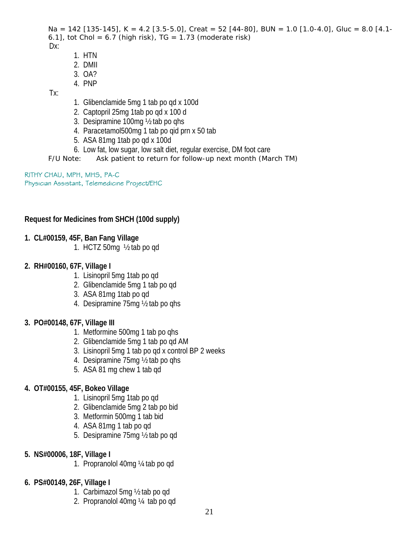```
Na = 142 [135-145], K = 4.2 [3.5-5.0], Creat = 52 [44-80], BUN = 1.0 [1.0-4.0], Gluc = 8.0 [4.1-
6.1], tot Chol = 6.7 (high risk), TG = 1.73 (moderate risk)
Dx:
```
- 1. HTN
- 2. DMII
- 3. OA?
- 4. PNP

Tx:

- 1. Glibenclamide 5mg 1 tab po qd x 100d
- 2. Captopril 25mg 1tab po qd x 100 d
- 3. Desipramine 100mg ½ tab po qhs
- 4. Paracetamol500mg 1 tab po qid prn x 50 tab
- 5. ASA 81mg 1tab po qd x 100d
- 6. Low fat, low sugar, low salt diet, regular exercise, DM foot care
- F/U Note: Ask patient to return for follow-up next month (March TM)

RITHY CHAU, MPH, MHS, PA-C Physician Assistant, Telemedicine Project/EHC

# **Request for Medicines from SHCH (100d supply)**

# **1. CL#00159, 45F, Ban Fang Village**

1. HCTZ 50mg ½ tab po qd

# **2. RH#00160, 67F, Village I**

- 1. Lisinopril 5mg 1tab po qd
- 2. Glibenclamide 5mg 1 tab po qd
- 3. ASA 81mg 1tab po qd
- 4. Desipramine 75mg ½ tab po qhs

# **3. PO#00148, 67F, Village III**

- 1. Metformine 500mg 1 tab po qhs
- 2. Glibenclamide 5mg 1 tab po qd AM
- 3. Lisinopril 5mg 1 tab po qd x control BP 2 weeks
- 4. Desipramine 75mg ½ tab po qhs
- 5. ASA 81 mg chew 1 tab qd

# **4. OT#00155, 45F, Bokeo Village**

- 1. Lisinopril 5mg 1tab po qd
- 2. Glibenclamide 5mg 2 tab po bid
- 3. Metformin 500mg 1 tab bid
- 4. ASA 81mg 1 tab po qd
- 5. Desipramine 75mg ½ tab po qd
- **5. NS#00006, 18F, Village I** 
	- 1. Propranolol 40mg ¼ tab po qd
- **6. PS#00149, 26F, Village I** 
	- 1. Carbimazol 5mg ½ tab po qd
	- 2. Propranolol 40mg ¼ tab po qd